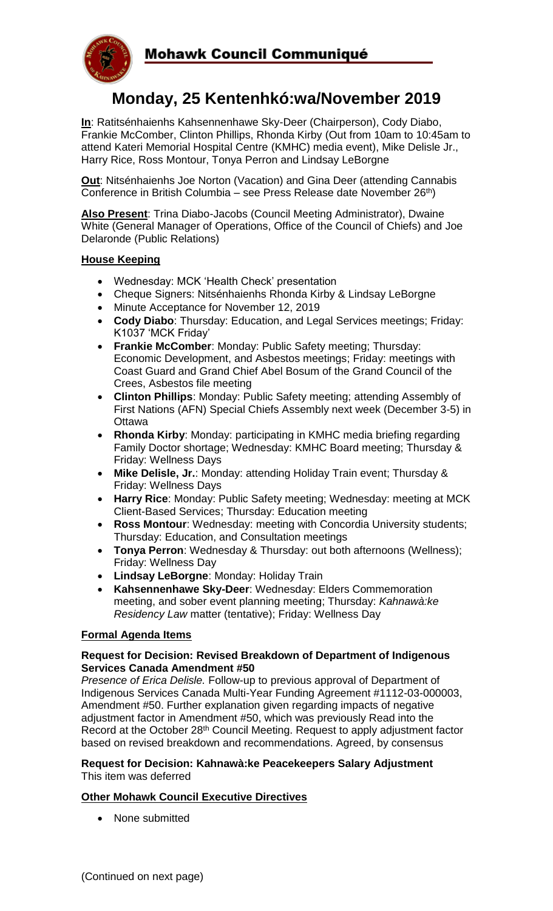

# **Monday, 25 Kentenhkó:wa/November 2019**

**In**: Ratitsénhaienhs Kahsennenhawe Sky-Deer (Chairperson), Cody Diabo, Frankie McComber, Clinton Phillips, Rhonda Kirby (Out from 10am to 10:45am to attend Kateri Memorial Hospital Centre (KMHC) media event), Mike Delisle Jr., Harry Rice, Ross Montour, Tonya Perron and Lindsay LeBorgne

**Out**: Nitsénhaienhs Joe Norton (Vacation) and Gina Deer (attending Cannabis Conference in British Columbia – see Press Release date November  $26<sup>th</sup>$ )

**Also Present**: Trina Diabo-Jacobs (Council Meeting Administrator), Dwaine White (General Manager of Operations, Office of the Council of Chiefs) and Joe Delaronde (Public Relations)

# **House Keeping**

- Wednesday: MCK 'Health Check' presentation
- Cheque Signers: Nitsénhaienhs Rhonda Kirby & Lindsay LeBorgne
- Minute Acceptance for November 12, 2019
- **Cody Diabo**: Thursday: Education, and Legal Services meetings; Friday: K1037 'MCK Friday'
- **Frankie McComber**: Monday: Public Safety meeting; Thursday: Economic Development, and Asbestos meetings; Friday: meetings with Coast Guard and Grand Chief Abel Bosum of the Grand Council of the Crees, Asbestos file meeting
- **Clinton Phillips**: Monday: Public Safety meeting; attending Assembly of First Nations (AFN) Special Chiefs Assembly next week (December 3-5) in **Ottawa**
- **Rhonda Kirby**: Monday: participating in KMHC media briefing regarding Family Doctor shortage; Wednesday: KMHC Board meeting; Thursday & Friday: Wellness Days
- **Mike Delisle, Jr.**: Monday: attending Holiday Train event; Thursday & Friday: Wellness Days
- **Harry Rice**: Monday: Public Safety meeting; Wednesday: meeting at MCK Client-Based Services; Thursday: Education meeting
- **Ross Montour**: Wednesday: meeting with Concordia University students; Thursday: Education, and Consultation meetings
- **Tonya Perron**: Wednesday & Thursday: out both afternoons (Wellness); Friday: Wellness Day
- **Lindsay LeBorgne**: Monday: Holiday Train
- **Kahsennenhawe Sky-Deer**: Wednesday: Elders Commemoration meeting, and sober event planning meeting; Thursday: *Kahnawà:ke Residency Law* matter (tentative); Friday: Wellness Day

# **Formal Agenda Items**

#### **Request for Decision: Revised Breakdown of Department of Indigenous Services Canada Amendment #50**

*Presence of Erica Delisle.* Follow-up to previous approval of Department of Indigenous Services Canada Multi-Year Funding Agreement #1112-03-000003, Amendment #50. Further explanation given regarding impacts of negative adjustment factor in Amendment #50, which was previously Read into the Record at the October 28<sup>th</sup> Council Meeting. Request to apply adjustment factor based on revised breakdown and recommendations. Agreed, by consensus

#### **Request for Decision: Kahnawà:ke Peacekeepers Salary Adjustment** This item was deferred

# **Other Mohawk Council Executive Directives**

• None submitted